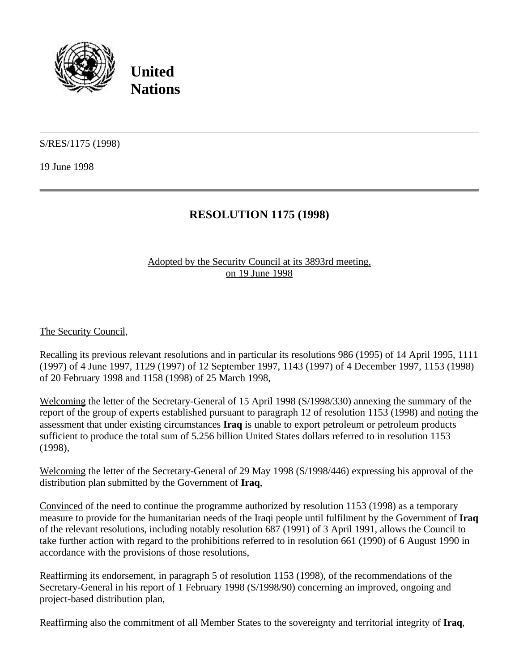

**United Nations**

S/RES/1175 (1998)

19 June 1998

## **RESOLUTION 1175 (1998)**

## Adopted by the Security Council at its 3893rd meeting, on 19 June 1998

The Security Council,

Recalling its previous relevant resolutions and in particular its resolutions 986 (1995) of 14 April 1995, 1111 (1997) of 4 June 1997, 1129 (1997) of 12 September 1997, 1143 (1997) of 4 December 1997, 1153 (1998) of 20 February 1998 and 1158 (1998) of 25 March 1998,

Welcoming the letter of the Secretary-General of 15 April 1998 (S/1998/330) annexing the summary of the report of the group of experts established pursuant to paragraph 12 of resolution 1153 (1998) and noting the assessment that under existing circumstances **Iraq** is unable to export petroleum or petroleum products sufficient to produce the total sum of 5.256 billion United States dollars referred to in resolution 1153 (1998),

Welcoming the letter of the Secretary-General of 29 May 1998 (S/1998/446) expressing his approval of the distribution plan submitted by the Government of **Iraq**,

Convinced of the need to continue the programme authorized by resolution 1153 (1998) as a temporary measure to provide for the humanitarian needs of the Iraqi people until fulfilment by the Government of **Iraq** of the relevant resolutions, including notably resolution 687 (1991) of 3 April 1991, allows the Council to take further action with regard to the prohibitions referred to in resolution 661 (1990) of 6 August 1990 in accordance with the provisions of those resolutions,

Reaffirming its endorsement, in paragraph 5 of resolution 1153 (1998), of the recommendations of the Secretary-General in his report of 1 February 1998 (S/1998/90) concerning an improved, ongoing and project-based distribution plan,

Reaffirming also the commitment of all Member States to the sovereignty and territorial integrity of **Iraq**,